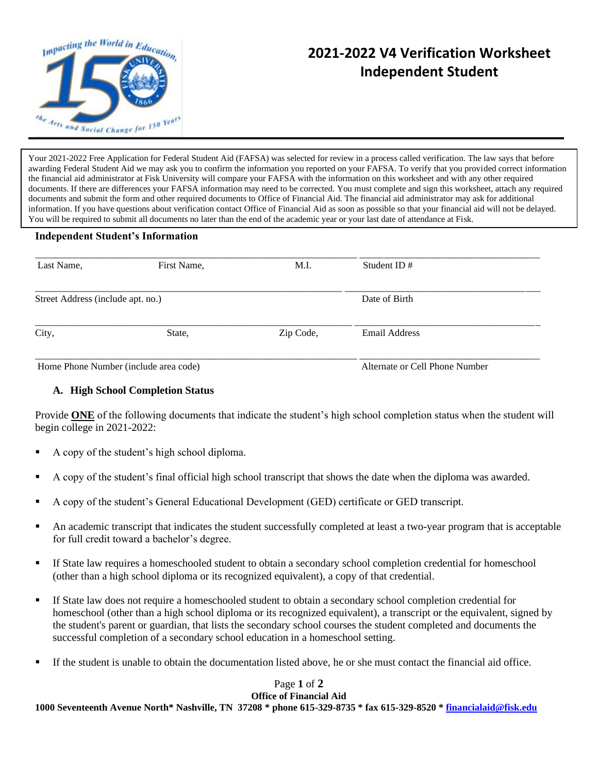

## **2021-2022 V4 Verification Worksheet Independent Student**

Your 2021-2022 Free Application for Federal Student Aid (FAFSA) was selected for review in a process called verification. The law says that before awarding Federal Student Aid we may ask you to confirm the information you reported on your FAFSA. To verify that you provided correct information the financial aid administrator at Fisk University will compare your FAFSA with the information on this worksheet and with any other required documents. If there are differences your FAFSA information may need to be corrected. You must complete and sign this worksheet, attach any required documents and submit the form and other required documents to Office of Financial Aid. The financial aid administrator may ask for additional information. If you have questions about verification contact Office of Financial Aid as soon as possible so that your financial aid will not be delayed. You will be required to submit all documents no later than the end of the academic year or your last date of attendance at Fisk.

## **Independent Student's Information**

| Last Name,                            | First Name, | M.I.      | Student ID $#$                 |  |
|---------------------------------------|-------------|-----------|--------------------------------|--|
| Street Address (include apt. no.)     |             |           | Date of Birth                  |  |
| City,                                 | State,      | Zip Code, | Email Address                  |  |
| Home Phone Number (include area code) |             |           | Alternate or Cell Phone Number |  |

## **A. High School Completion Status**

Provide **ONE** of the following documents that indicate the student's high school completion status when the student will begin college in 2021-2022:

- A copy of the student's high school diploma.
- A copy of the student's final official high school transcript that shows the date when the diploma was awarded.
- A copy of the student's General Educational Development (GED) certificate or GED transcript.
- An academic transcript that indicates the student successfully completed at least a two-year program that is acceptable for full credit toward a bachelor's degree.
- If State law requires a homeschooled student to obtain a secondary school completion credential for homeschool (other than a high school diploma or its recognized equivalent), a copy of that credential.
- If State law does not require a homeschooled student to obtain a secondary school completion credential for homeschool (other than a high school diploma or its recognized equivalent), a transcript or the equivalent, signed by the student's parent or guardian, that lists the secondary school courses the student completed and documents the successful completion of a secondary school education in a homeschool setting.
- If the student is unable to obtain the documentation listed above, he or she must contact the financial aid office.

## Page **1** of **2 Office of Financial Aid**

**1000 Seventeenth Avenue North\* Nashville, TN 37208 \* phone 615-329-8735 \* fax 615-329-8520 [\\* financialaid@fisk.edu](mailto:financialaid@fisk.edu)**